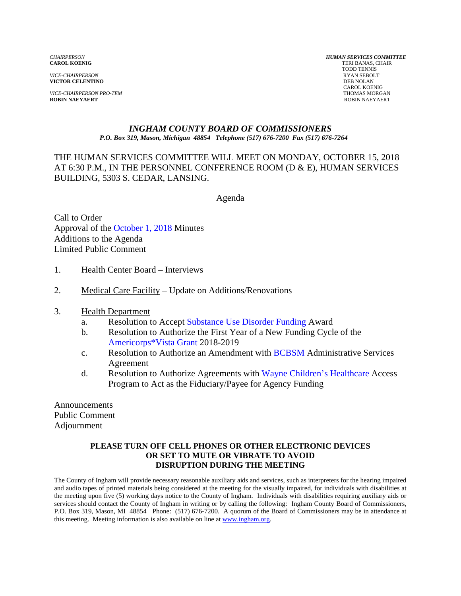*VICE-CHAIRPERSON* RYAN SEBOLT **VICTOR CELENTINO** 

*VICE-CHAIRPERSON PRO-TEM* THOMAS MORGAN **ROBIN NAEYAERT** ROBIN NAEYAERT

*CHAIRPERSON HUMAN SERVICES COMMITTEE* TERI BANAS, CHAIR TODD TENNIS CAROL KOENIG

#### *INGHAM COUNTY BOARD OF COMMISSIONERS P.O. Box 319, Mason, Michigan 48854 Telephone (517) 676-7200 Fax (517) 676-7264*

# THE HUMAN SERVICES COMMITTEE WILL MEET ON MONDAY, OCTOBER 15, 2018 AT 6:30 P.M., IN THE PERSONNEL CONFERENCE ROOM (D & E), HUMAN SERVICES BUILDING, 5303 S. CEDAR, LANSING.

Agenda

Call to Order Approval of the [October 1, 2018 Minutes](#page-1-0)  Additions to the Agenda Limited Public Comment

- 1. Health Center Board Interviews
- 2. Medical Care Facility Update on Additions/Renovations
- 3. Health Department
	- a. Resolution to Ac[cept Substance Use Disorder Funding Award](#page-13-0)
	- b. Resolution to Authorize the First Year of a New Funding Cycle of the [Americorps\\*Vista Grant 2018-201](#page-16-0)9
	- c. Resolution to Authorize an Amendment w[ith BCBSM Adminis](#page-20-0)trative Services Agreement
	- d. Resolution to Authorize Agreements [with Wayne Children's Healthcare](#page-24-0) Access Program to Act as the Fiduciary/Payee for Agency Funding

Announcements Public Comment Adjournment

#### **PLEASE TURN OFF CELL PHONES OR OTHER ELECTRONIC DEVICES OR SET TO MUTE OR VIBRATE TO AVOID DISRUPTION DURING THE MEETING**

The County of Ingham will provide necessary reasonable auxiliary aids and services, such as interpreters for the hearing impaired and audio tapes of printed materials being considered at the meeting for the visually impaired, for individuals with disabilities at the meeting upon five (5) working days notice to the County of Ingham. Individuals with disabilities requiring auxiliary aids or services should contact the County of Ingham in writing or by calling the following: Ingham County Board of Commissioners, P.O. Box 319, Mason, MI 48854 Phone: (517) 676-7200. A quorum of the Board of Commissioners may be in attendance at this meeting. Meeting information is also available on line at www.ingham.org.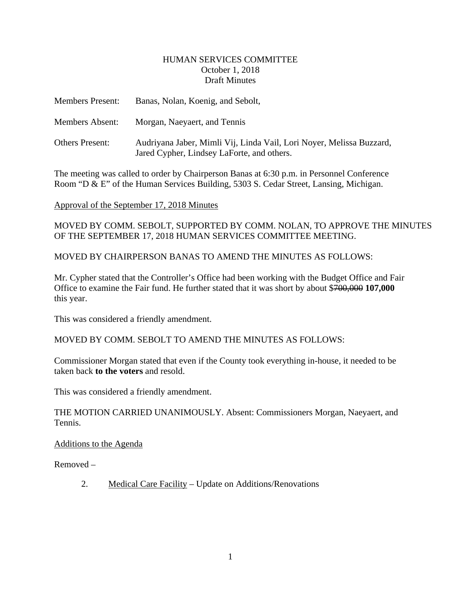#### HUMAN SERVICES COMMITTEE October 1, 2018 Draft Minutes

<span id="page-1-0"></span>

| <b>Members Present:</b> | Banas, Nolan, Koenig, and Sebolt,                                                                                  |
|-------------------------|--------------------------------------------------------------------------------------------------------------------|
| Members Absent:         | Morgan, Naeyaert, and Tennis                                                                                       |
| <b>Others Present:</b>  | Audriyana Jaber, Mimli Vij, Linda Vail, Lori Noyer, Melissa Buzzard,<br>Jared Cypher, Lindsey LaForte, and others. |

The meeting was called to order by Chairperson Banas at 6:30 p.m. in Personnel Conference Room "D & E" of the Human Services Building, 5303 S. Cedar Street, Lansing, Michigan.

Approval of the September 17, 2018 Minutes

MOVED BY COMM. SEBOLT, SUPPORTED BY COMM. NOLAN, TO APPROVE THE MINUTES OF THE SEPTEMBER 17, 2018 HUMAN SERVICES COMMITTEE MEETING.

MOVED BY CHAIRPERSON BANAS TO AMEND THE MINUTES AS FOLLOWS:

Mr. Cypher stated that the Controller's Office had been working with the Budget Office and Fair Office to examine the Fair fund. He further stated that it was short by about \$700,000 **107,000**  this year.

This was considered a friendly amendment.

MOVED BY COMM. SEBOLT TO AMEND THE MINUTES AS FOLLOWS:

Commissioner Morgan stated that even if the County took everything in-house, it needed to be taken back **to the voters** and resold.

This was considered a friendly amendment.

THE MOTION CARRIED UNANIMOUSLY. Absent: Commissioners Morgan, Naeyaert, and Tennis.

Additions to the Agenda

Removed –

2. Medical Care Facility – Update on Additions/Renovations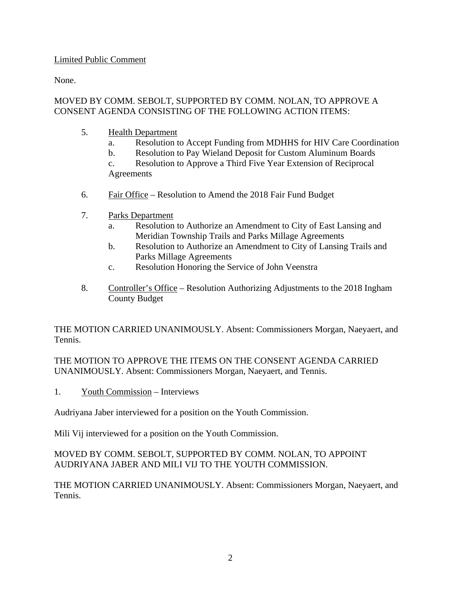# Limited Public Comment

None.

# MOVED BY COMM. SEBOLT, SUPPORTED BY COMM. NOLAN, TO APPROVE A CONSENT AGENDA CONSISTING OF THE FOLLOWING ACTION ITEMS:

- 5. Health Department
	- a. Resolution to Accept Funding from MDHHS for HIV Care Coordination
	- b. Resolution to Pay Wieland Deposit for Custom Aluminum Boards

c. Resolution to Approve a Third Five Year Extension of Reciprocal Agreements

- 6. Fair Office Resolution to Amend the 2018 Fair Fund Budget
- 7. Parks Department
	- a. Resolution to Authorize an Amendment to City of East Lansing and Meridian Township Trails and Parks Millage Agreements
	- b. Resolution to Authorize an Amendment to City of Lansing Trails and Parks Millage Agreements
	- c. Resolution Honoring the Service of John Veenstra
- 8. Controller's Office Resolution Authorizing Adjustments to the 2018 Ingham County Budget

THE MOTION CARRIED UNANIMOUSLY. Absent: Commissioners Morgan, Naeyaert, and Tennis.

THE MOTION TO APPROVE THE ITEMS ON THE CONSENT AGENDA CARRIED UNANIMOUSLY. Absent: Commissioners Morgan, Naeyaert, and Tennis.

1. Youth Commission – Interviews

Audriyana Jaber interviewed for a position on the Youth Commission.

Mili Vij interviewed for a position on the Youth Commission.

# MOVED BY COMM. SEBOLT, SUPPORTED BY COMM. NOLAN, TO APPOINT AUDRIYANA JABER AND MILI VIJ TO THE YOUTH COMMISSION.

THE MOTION CARRIED UNANIMOUSLY. Absent: Commissioners Morgan, Naeyaert, and Tennis.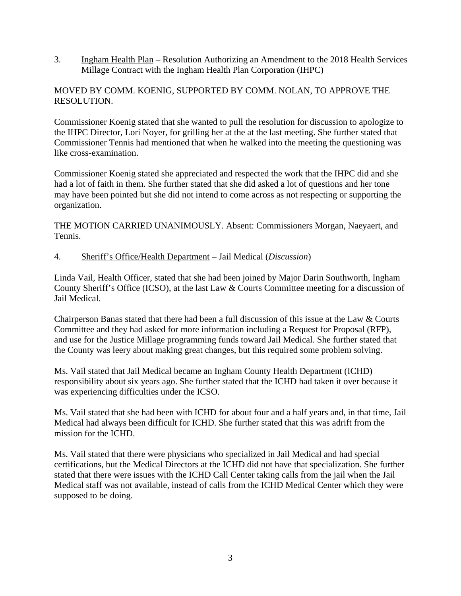3. Ingham Health Plan – Resolution Authorizing an Amendment to the 2018 Health Services Millage Contract with the Ingham Health Plan Corporation (IHPC)

# MOVED BY COMM. KOENIG, SUPPORTED BY COMM. NOLAN, TO APPROVE THE RESOLUTION.

Commissioner Koenig stated that she wanted to pull the resolution for discussion to apologize to the IHPC Director, Lori Noyer, for grilling her at the at the last meeting. She further stated that Commissioner Tennis had mentioned that when he walked into the meeting the questioning was like cross-examination.

Commissioner Koenig stated she appreciated and respected the work that the IHPC did and she had a lot of faith in them. She further stated that she did asked a lot of questions and her tone may have been pointed but she did not intend to come across as not respecting or supporting the organization.

THE MOTION CARRIED UNANIMOUSLY. Absent: Commissioners Morgan, Naeyaert, and Tennis.

# 4. Sheriff's Office/Health Department – Jail Medical (*Discussion*)

Linda Vail, Health Officer, stated that she had been joined by Major Darin Southworth, Ingham County Sheriff's Office (ICSO), at the last Law & Courts Committee meeting for a discussion of Jail Medical.

Chairperson Banas stated that there had been a full discussion of this issue at the Law & Courts Committee and they had asked for more information including a Request for Proposal (RFP), and use for the Justice Millage programming funds toward Jail Medical. She further stated that the County was leery about making great changes, but this required some problem solving.

Ms. Vail stated that Jail Medical became an Ingham County Health Department (ICHD) responsibility about six years ago. She further stated that the ICHD had taken it over because it was experiencing difficulties under the ICSO.

Ms. Vail stated that she had been with ICHD for about four and a half years and, in that time, Jail Medical had always been difficult for ICHD. She further stated that this was adrift from the mission for the ICHD.

Ms. Vail stated that there were physicians who specialized in Jail Medical and had special certifications, but the Medical Directors at the ICHD did not have that specialization. She further stated that there were issues with the ICHD Call Center taking calls from the jail when the Jail Medical staff was not available, instead of calls from the ICHD Medical Center which they were supposed to be doing.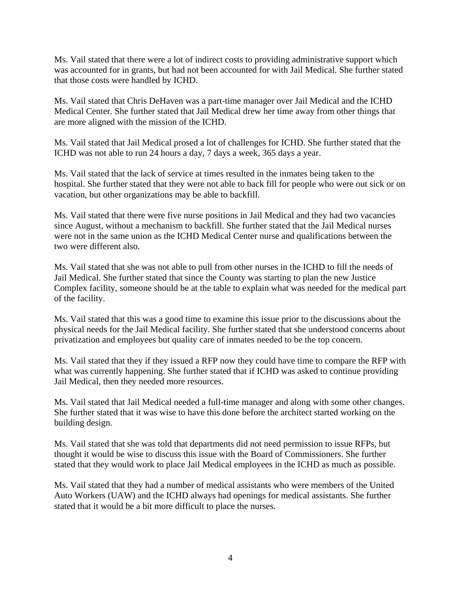Ms. Vail stated that there were a lot of indirect costs to providing administrative support which was accounted for in grants, but had not been accounted for with Jail Medical. She further stated that those costs were handled by ICHD.

Ms. Vail stated that Chris DeHaven was a part-time manager over Jail Medical and the ICHD Medical Center. She further stated that Jail Medical drew her time away from other things that are more aligned with the mission of the ICHD.

Ms. Vail stated that Jail Medical prosed a lot of challenges for ICHD. She further stated that the ICHD was not able to run 24 hours a day, 7 days a week, 365 days a year.

Ms. Vail stated that the lack of service at times resulted in the inmates being taken to the hospital. She further stated that they were not able to back fill for people who were out sick or on vacation, but other organizations may be able to backfill.

Ms. Vail stated that there were five nurse positions in Jail Medical and they had two vacancies since August, without a mechanism to backfill. She further stated that the Jail Medical nurses were not in the same union as the ICHD Medical Center nurse and qualifications between the two were different also.

Ms. Vail stated that she was not able to pull from other nurses in the ICHD to fill the needs of Jail Medical. She further stated that since the County was starting to plan the new Justice Complex facility, someone should be at the table to explain what was needed for the medical part of the facility.

Ms. Vail stated that this was a good time to examine this issue prior to the discussions about the physical needs for the Jail Medical facility. She further stated that she understood concerns about privatization and employees but quality care of inmates needed to be the top concern.

Ms. Vail stated that they if they issued a RFP now they could have time to compare the RFP with what was currently happening. She further stated that if ICHD was asked to continue providing Jail Medical, then they needed more resources.

Ms. Vail stated that Jail Medical needed a full-time manager and along with some other changes. She further stated that it was wise to have this done before the architect started working on the building design.

Ms. Vail stated that she was told that departments did not need permission to issue RFPs, but thought it would be wise to discuss this issue with the Board of Commissioners. She further stated that they would work to place Jail Medical employees in the ICHD as much as possible.

Ms. Vail stated that they had a number of medical assistants who were members of the United Auto Workers (UAW) and the ICHD always had openings for medical assistants. She further stated that it would be a bit more difficult to place the nurses.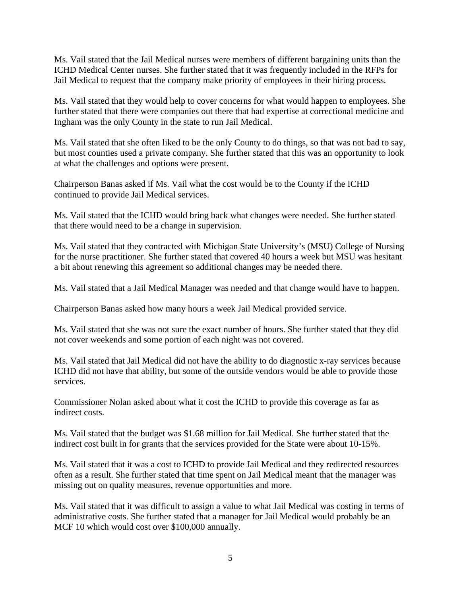Ms. Vail stated that the Jail Medical nurses were members of different bargaining units than the ICHD Medical Center nurses. She further stated that it was frequently included in the RFPs for Jail Medical to request that the company make priority of employees in their hiring process.

Ms. Vail stated that they would help to cover concerns for what would happen to employees. She further stated that there were companies out there that had expertise at correctional medicine and Ingham was the only County in the state to run Jail Medical.

Ms. Vail stated that she often liked to be the only County to do things, so that was not bad to say, but most counties used a private company. She further stated that this was an opportunity to look at what the challenges and options were present.

Chairperson Banas asked if Ms. Vail what the cost would be to the County if the ICHD continued to provide Jail Medical services.

Ms. Vail stated that the ICHD would bring back what changes were needed. She further stated that there would need to be a change in supervision.

Ms. Vail stated that they contracted with Michigan State University's (MSU) College of Nursing for the nurse practitioner. She further stated that covered 40 hours a week but MSU was hesitant a bit about renewing this agreement so additional changes may be needed there.

Ms. Vail stated that a Jail Medical Manager was needed and that change would have to happen.

Chairperson Banas asked how many hours a week Jail Medical provided service.

Ms. Vail stated that she was not sure the exact number of hours. She further stated that they did not cover weekends and some portion of each night was not covered.

Ms. Vail stated that Jail Medical did not have the ability to do diagnostic x-ray services because ICHD did not have that ability, but some of the outside vendors would be able to provide those services.

Commissioner Nolan asked about what it cost the ICHD to provide this coverage as far as indirect costs.

Ms. Vail stated that the budget was \$1.68 million for Jail Medical. She further stated that the indirect cost built in for grants that the services provided for the State were about 10-15%.

Ms. Vail stated that it was a cost to ICHD to provide Jail Medical and they redirected resources often as a result. She further stated that time spent on Jail Medical meant that the manager was missing out on quality measures, revenue opportunities and more.

Ms. Vail stated that it was difficult to assign a value to what Jail Medical was costing in terms of administrative costs. She further stated that a manager for Jail Medical would probably be an MCF 10 which would cost over \$100,000 annually.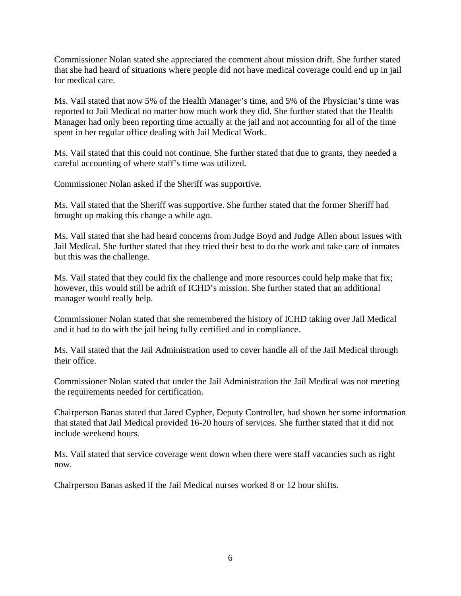Commissioner Nolan stated she appreciated the comment about mission drift. She further stated that she had heard of situations where people did not have medical coverage could end up in jail for medical care.

Ms. Vail stated that now 5% of the Health Manager's time, and 5% of the Physician's time was reported to Jail Medical no matter how much work they did. She further stated that the Health Manager had only been reporting time actually at the jail and not accounting for all of the time spent in her regular office dealing with Jail Medical Work.

Ms. Vail stated that this could not continue. She further stated that due to grants, they needed a careful accounting of where staff's time was utilized.

Commissioner Nolan asked if the Sheriff was supportive.

Ms. Vail stated that the Sheriff was supportive. She further stated that the former Sheriff had brought up making this change a while ago.

Ms. Vail stated that she had heard concerns from Judge Boyd and Judge Allen about issues with Jail Medical. She further stated that they tried their best to do the work and take care of inmates but this was the challenge.

Ms. Vail stated that they could fix the challenge and more resources could help make that fix; however, this would still be adrift of ICHD's mission. She further stated that an additional manager would really help.

Commissioner Nolan stated that she remembered the history of ICHD taking over Jail Medical and it had to do with the jail being fully certified and in compliance.

Ms. Vail stated that the Jail Administration used to cover handle all of the Jail Medical through their office.

Commissioner Nolan stated that under the Jail Administration the Jail Medical was not meeting the requirements needed for certification.

Chairperson Banas stated that Jared Cypher, Deputy Controller, had shown her some information that stated that Jail Medical provided 16-20 hours of services. She further stated that it did not include weekend hours.

Ms. Vail stated that service coverage went down when there were staff vacancies such as right now.

Chairperson Banas asked if the Jail Medical nurses worked 8 or 12 hour shifts.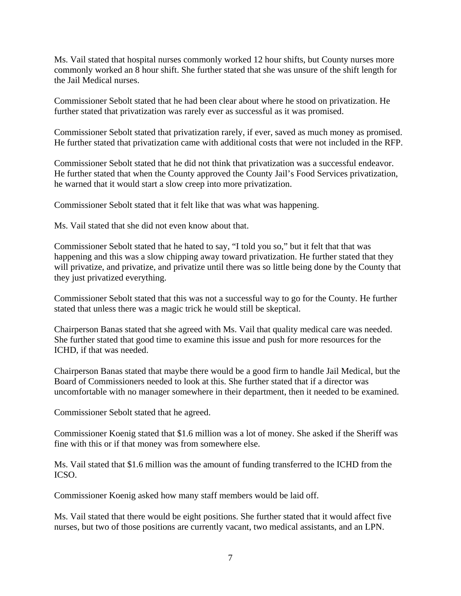Ms. Vail stated that hospital nurses commonly worked 12 hour shifts, but County nurses more commonly worked an 8 hour shift. She further stated that she was unsure of the shift length for the Jail Medical nurses.

Commissioner Sebolt stated that he had been clear about where he stood on privatization. He further stated that privatization was rarely ever as successful as it was promised.

Commissioner Sebolt stated that privatization rarely, if ever, saved as much money as promised. He further stated that privatization came with additional costs that were not included in the RFP.

Commissioner Sebolt stated that he did not think that privatization was a successful endeavor. He further stated that when the County approved the County Jail's Food Services privatization, he warned that it would start a slow creep into more privatization.

Commissioner Sebolt stated that it felt like that was what was happening.

Ms. Vail stated that she did not even know about that.

Commissioner Sebolt stated that he hated to say, "I told you so," but it felt that that was happening and this was a slow chipping away toward privatization. He further stated that they will privatize, and privatize, and privatize until there was so little being done by the County that they just privatized everything.

Commissioner Sebolt stated that this was not a successful way to go for the County. He further stated that unless there was a magic trick he would still be skeptical.

Chairperson Banas stated that she agreed with Ms. Vail that quality medical care was needed. She further stated that good time to examine this issue and push for more resources for the ICHD, if that was needed.

Chairperson Banas stated that maybe there would be a good firm to handle Jail Medical, but the Board of Commissioners needed to look at this. She further stated that if a director was uncomfortable with no manager somewhere in their department, then it needed to be examined.

Commissioner Sebolt stated that he agreed.

Commissioner Koenig stated that \$1.6 million was a lot of money. She asked if the Sheriff was fine with this or if that money was from somewhere else.

Ms. Vail stated that \$1.6 million was the amount of funding transferred to the ICHD from the ICSO.

Commissioner Koenig asked how many staff members would be laid off.

Ms. Vail stated that there would be eight positions. She further stated that it would affect five nurses, but two of those positions are currently vacant, two medical assistants, and an LPN.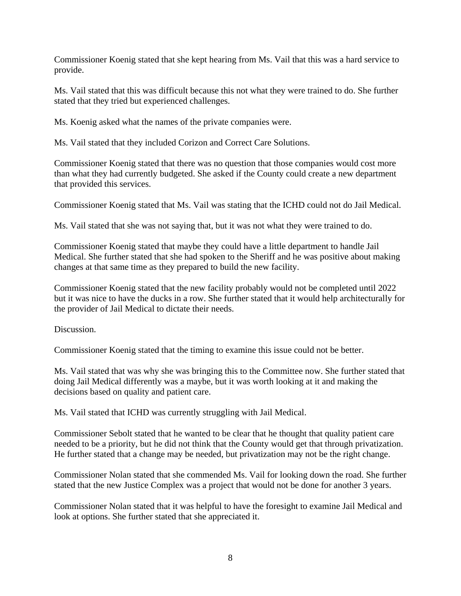Commissioner Koenig stated that she kept hearing from Ms. Vail that this was a hard service to provide.

Ms. Vail stated that this was difficult because this not what they were trained to do. She further stated that they tried but experienced challenges.

Ms. Koenig asked what the names of the private companies were.

Ms. Vail stated that they included Corizon and Correct Care Solutions.

Commissioner Koenig stated that there was no question that those companies would cost more than what they had currently budgeted. She asked if the County could create a new department that provided this services.

Commissioner Koenig stated that Ms. Vail was stating that the ICHD could not do Jail Medical.

Ms. Vail stated that she was not saying that, but it was not what they were trained to do.

Commissioner Koenig stated that maybe they could have a little department to handle Jail Medical. She further stated that she had spoken to the Sheriff and he was positive about making changes at that same time as they prepared to build the new facility.

Commissioner Koenig stated that the new facility probably would not be completed until 2022 but it was nice to have the ducks in a row. She further stated that it would help architecturally for the provider of Jail Medical to dictate their needs.

Discussion.

Commissioner Koenig stated that the timing to examine this issue could not be better.

Ms. Vail stated that was why she was bringing this to the Committee now. She further stated that doing Jail Medical differently was a maybe, but it was worth looking at it and making the decisions based on quality and patient care.

Ms. Vail stated that ICHD was currently struggling with Jail Medical.

Commissioner Sebolt stated that he wanted to be clear that he thought that quality patient care needed to be a priority, but he did not think that the County would get that through privatization. He further stated that a change may be needed, but privatization may not be the right change.

Commissioner Nolan stated that she commended Ms. Vail for looking down the road. She further stated that the new Justice Complex was a project that would not be done for another 3 years.

Commissioner Nolan stated that it was helpful to have the foresight to examine Jail Medical and look at options. She further stated that she appreciated it.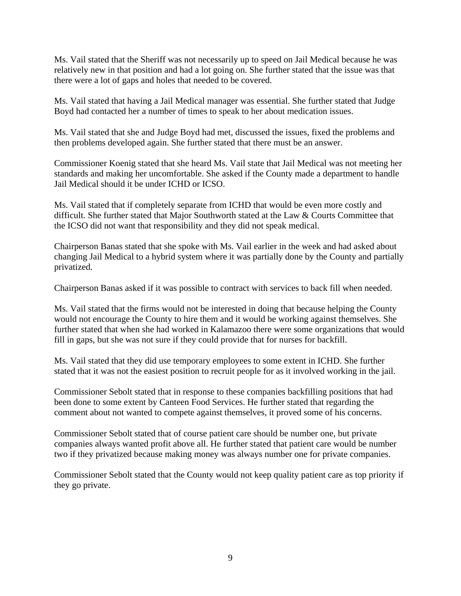Ms. Vail stated that the Sheriff was not necessarily up to speed on Jail Medical because he was relatively new in that position and had a lot going on. She further stated that the issue was that there were a lot of gaps and holes that needed to be covered.

Ms. Vail stated that having a Jail Medical manager was essential. She further stated that Judge Boyd had contacted her a number of times to speak to her about medication issues.

Ms. Vail stated that she and Judge Boyd had met, discussed the issues, fixed the problems and then problems developed again. She further stated that there must be an answer.

Commissioner Koenig stated that she heard Ms. Vail state that Jail Medical was not meeting her standards and making her uncomfortable. She asked if the County made a department to handle Jail Medical should it be under ICHD or ICSO.

Ms. Vail stated that if completely separate from ICHD that would be even more costly and difficult. She further stated that Major Southworth stated at the Law & Courts Committee that the ICSO did not want that responsibility and they did not speak medical.

Chairperson Banas stated that she spoke with Ms. Vail earlier in the week and had asked about changing Jail Medical to a hybrid system where it was partially done by the County and partially privatized.

Chairperson Banas asked if it was possible to contract with services to back fill when needed.

Ms. Vail stated that the firms would not be interested in doing that because helping the County would not encourage the County to hire them and it would be working against themselves. She further stated that when she had worked in Kalamazoo there were some organizations that would fill in gaps, but she was not sure if they could provide that for nurses for backfill.

Ms. Vail stated that they did use temporary employees to some extent in ICHD. She further stated that it was not the easiest position to recruit people for as it involved working in the jail.

Commissioner Sebolt stated that in response to these companies backfilling positions that had been done to some extent by Canteen Food Services. He further stated that regarding the comment about not wanted to compete against themselves, it proved some of his concerns.

Commissioner Sebolt stated that of course patient care should be number one, but private companies always wanted profit above all. He further stated that patient care would be number two if they privatized because making money was always number one for private companies.

Commissioner Sebolt stated that the County would not keep quality patient care as top priority if they go private.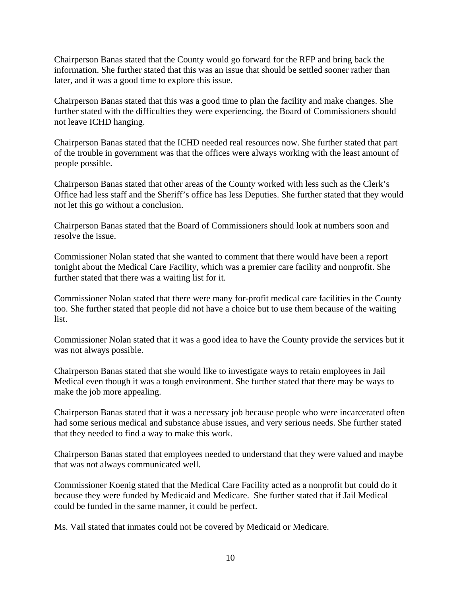Chairperson Banas stated that the County would go forward for the RFP and bring back the information. She further stated that this was an issue that should be settled sooner rather than later, and it was a good time to explore this issue.

Chairperson Banas stated that this was a good time to plan the facility and make changes. She further stated with the difficulties they were experiencing, the Board of Commissioners should not leave ICHD hanging.

Chairperson Banas stated that the ICHD needed real resources now. She further stated that part of the trouble in government was that the offices were always working with the least amount of people possible.

Chairperson Banas stated that other areas of the County worked with less such as the Clerk's Office had less staff and the Sheriff's office has less Deputies. She further stated that they would not let this go without a conclusion.

Chairperson Banas stated that the Board of Commissioners should look at numbers soon and resolve the issue.

Commissioner Nolan stated that she wanted to comment that there would have been a report tonight about the Medical Care Facility, which was a premier care facility and nonprofit. She further stated that there was a waiting list for it.

Commissioner Nolan stated that there were many for-profit medical care facilities in the County too. She further stated that people did not have a choice but to use them because of the waiting list.

Commissioner Nolan stated that it was a good idea to have the County provide the services but it was not always possible.

Chairperson Banas stated that she would like to investigate ways to retain employees in Jail Medical even though it was a tough environment. She further stated that there may be ways to make the job more appealing.

Chairperson Banas stated that it was a necessary job because people who were incarcerated often had some serious medical and substance abuse issues, and very serious needs. She further stated that they needed to find a way to make this work.

Chairperson Banas stated that employees needed to understand that they were valued and maybe that was not always communicated well.

Commissioner Koenig stated that the Medical Care Facility acted as a nonprofit but could do it because they were funded by Medicaid and Medicare. She further stated that if Jail Medical could be funded in the same manner, it could be perfect.

Ms. Vail stated that inmates could not be covered by Medicaid or Medicare.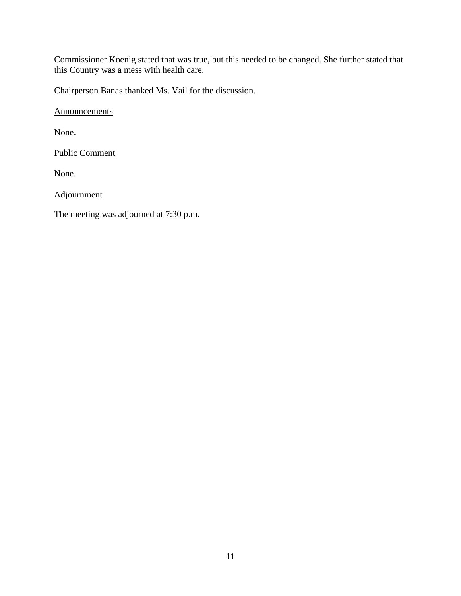Commissioner Koenig stated that was true, but this needed to be changed. She further stated that this Country was a mess with health care.

Chairperson Banas thanked Ms. Vail for the discussion.

**Announcements** 

None.

Public Comment

None.

**Adjournment** 

The meeting was adjourned at 7:30 p.m.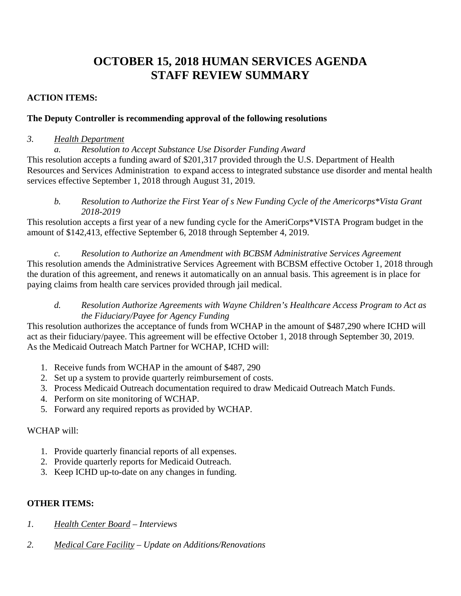# **OCTOBER 15, 2018 HUMAN SERVICES AGENDA STAFF REVIEW SUMMARY**

# **ACTION ITEMS:**

# **The Deputy Controller is recommending approval of the following resolutions**

#### *3. Health Department*

*a. Resolution to Accept Substance Use Disorder Funding Award* 

This resolution accepts a funding award of \$201,317 provided through the U.S. Department of Health Resources and Services Administration to expand access to integrated substance use disorder and mental health services effective September 1, 2018 through August 31, 2019.

*b. Resolution to Authorize the First Year of s New Funding Cycle of the Americorps\*Vista Grant 2018-2019* 

This resolution accepts a first year of a new funding cycle for the AmeriCorps\*VISTA Program budget in the amount of \$142,413, effective September 6, 2018 through September 4, 2019.

*c. Resolution to Authorize an Amendment with BCBSM Administrative Services Agreement*  This resolution amends the Administrative Services Agreement with BCBSM effective October 1, 2018 through the duration of this agreement, and renews it automatically on an annual basis. This agreement is in place for paying claims from health care services provided through jail medical.

# *d. Resolution Authorize Agreements with Wayne Children's Healthcare Access Program to Act as the Fiduciary/Payee for Agency Funding*

This resolution authorizes the acceptance of funds from WCHAP in the amount of \$487,290 where ICHD will act as their fiduciary/payee. This agreement will be effective October 1, 2018 through September 30, 2019. As the Medicaid Outreach Match Partner for WCHAP, ICHD will:

- 1. Receive funds from WCHAP in the amount of \$487, 290
- 2. Set up a system to provide quarterly reimbursement of costs.
- 3. Process Medicaid Outreach documentation required to draw Medicaid Outreach Match Funds.
- 4. Perform on site monitoring of WCHAP.
- 5. Forward any required reports as provided by WCHAP.

# WCHAP will:

- 1. Provide quarterly financial reports of all expenses.
- 2. Provide quarterly reports for Medicaid Outreach.
- 3. Keep ICHD up-to-date on any changes in funding.

# **OTHER ITEMS:**

- *1. Health Center Board Interviews*
- *2. Medical Care Facility Update on Additions/Renovations*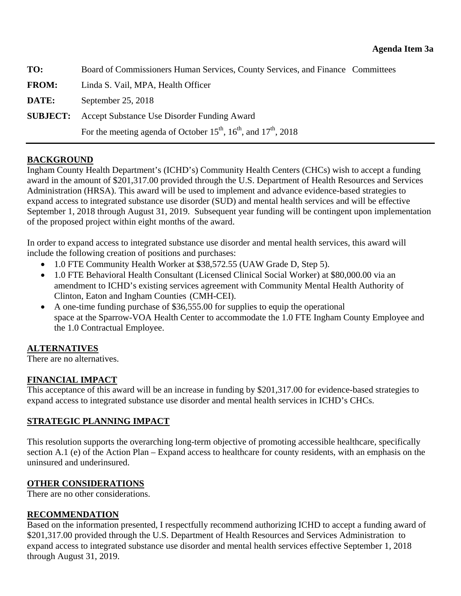<span id="page-13-0"></span>

| TO:             | Board of Commissioners Human Services, County Services, and Finance Committees |  |
|-----------------|--------------------------------------------------------------------------------|--|
| <b>FROM:</b>    | Linda S. Vail, MPA, Health Officer                                             |  |
| DATE:           | September 25, 2018                                                             |  |
| <b>SUBJECT:</b> | Accept Substance Use Disorder Funding Award                                    |  |
|                 | For the meeting agenda of October $15^{th}$ , $16^{th}$ , and $17^{th}$ , 2018 |  |

# **BACKGROUND**

Ingham County Health Department's (ICHD's) Community Health Centers (CHCs) wish to accept a funding award in the amount of \$201,317.00 provided through the U.S. Department of Health Resources and Services Administration (HRSA). This award will be used to implement and advance evidence-based strategies to expand access to integrated substance use disorder (SUD) and mental health services and will be effective September 1, 2018 through August 31, 2019. Subsequent year funding will be contingent upon implementation of the proposed project within eight months of the award.

In order to expand access to integrated substance use disorder and mental health services, this award will include the following creation of positions and purchases:

- 1.0 FTE Community Health Worker at \$38,572.55 (UAW Grade D, Step 5).
- 1.0 FTE Behavioral Health Consultant (Licensed Clinical Social Worker) at \$80,000.00 via an amendment to ICHD's existing services agreement with Community Mental Health Authority of Clinton, Eaton and Ingham Counties (CMH-CEI).
- A one-time funding purchase of \$36,555.00 for supplies to equip the operational space at the Sparrow-VOA Health Center to accommodate the 1.0 FTE Ingham County Employee and the 1.0 Contractual Employee.

# **ALTERNATIVES**

There are no alternatives.

# **FINANCIAL IMPACT**

This acceptance of this award will be an increase in funding by \$201,317.00 for evidence-based strategies to expand access to integrated substance use disorder and mental health services in ICHD's CHCs.

# **STRATEGIC PLANNING IMPACT**

This resolution supports the overarching long-term objective of promoting accessible healthcare, specifically section A.1 (e) of the Action Plan – Expand access to healthcare for county residents, with an emphasis on the uninsured and underinsured.

# **OTHER CONSIDERATIONS**

There are no other considerations.

# **RECOMMENDATION**

Based on the information presented, I respectfully recommend authorizing ICHD to accept a funding award of \$201,317.00 provided through the U.S. Department of Health Resources and Services Administration to expand access to integrated substance use disorder and mental health services effective September 1, 2018 through August 31, 2019.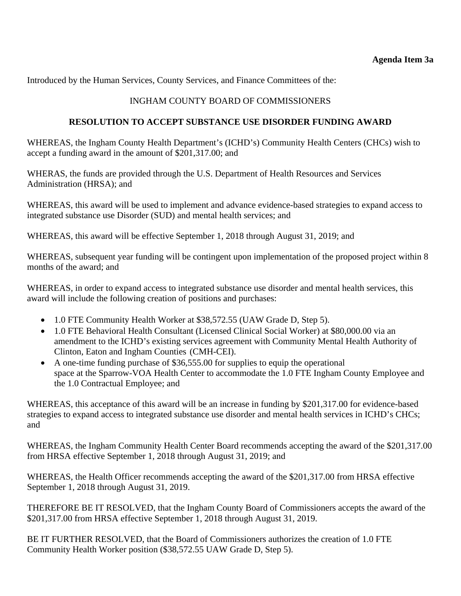Introduced by the Human Services, County Services, and Finance Committees of the:

# INGHAM COUNTY BOARD OF COMMISSIONERS

# **RESOLUTION TO ACCEPT SUBSTANCE USE DISORDER FUNDING AWARD**

WHEREAS, the Ingham County Health Department's (ICHD's) Community Health Centers (CHCs) wish to accept a funding award in the amount of \$201,317.00; and

WHERAS, the funds are provided through the U.S. Department of Health Resources and Services Administration (HRSA); and

WHEREAS, this award will be used to implement and advance evidence-based strategies to expand access to integrated substance use Disorder (SUD) and mental health services; and

WHEREAS, this award will be effective September 1, 2018 through August 31, 2019; and

WHEREAS, subsequent year funding will be contingent upon implementation of the proposed project within 8 months of the award; and

WHEREAS, in order to expand access to integrated substance use disorder and mental health services, this award will include the following creation of positions and purchases:

- 1.0 FTE Community Health Worker at \$38,572.55 (UAW Grade D, Step 5).
- 1.0 FTE Behavioral Health Consultant (Licensed Clinical Social Worker) at \$80,000.00 via an amendment to the ICHD's existing services agreement with Community Mental Health Authority of Clinton, Eaton and Ingham Counties (CMH-CEI).
- A one-time funding purchase of \$36,555.00 for supplies to equip the operational space at the Sparrow-VOA Health Center to accommodate the 1.0 FTE Ingham County Employee and the 1.0 Contractual Employee; and

WHEREAS, this acceptance of this award will be an increase in funding by \$201,317.00 for evidence-based strategies to expand access to integrated substance use disorder and mental health services in ICHD's CHCs; and

WHEREAS, the Ingham Community Health Center Board recommends accepting the award of the \$201,317.00 from HRSA effective September 1, 2018 through August 31, 2019; and

WHEREAS, the Health Officer recommends accepting the award of the \$201,317.00 from HRSA effective September 1, 2018 through August 31, 2019.

THEREFORE BE IT RESOLVED, that the Ingham County Board of Commissioners accepts the award of the \$201,317.00 from HRSA effective September 1, 2018 through August 31, 2019.

BE IT FURTHER RESOLVED, that the Board of Commissioners authorizes the creation of 1.0 FTE Community Health Worker position (\$38,572.55 UAW Grade D, Step 5).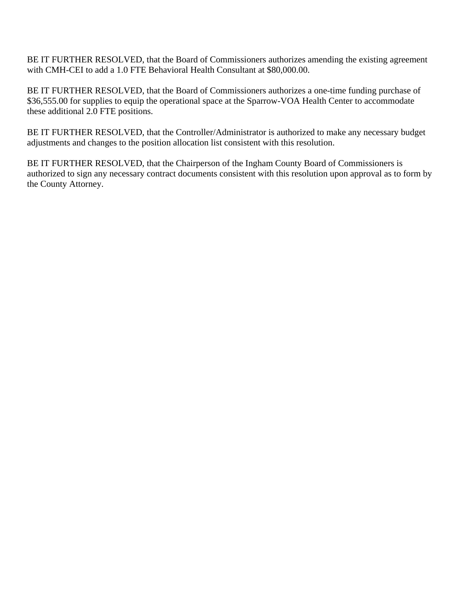BE IT FURTHER RESOLVED, that the Board of Commissioners authorizes amending the existing agreement with CMH-CEI to add a 1.0 FTE Behavioral Health Consultant at \$80,000.00.

BE IT FURTHER RESOLVED, that the Board of Commissioners authorizes a one-time funding purchase of \$36,555.00 for supplies to equip the operational space at the Sparrow-VOA Health Center to accommodate these additional 2.0 FTE positions.

BE IT FURTHER RESOLVED, that the Controller/Administrator is authorized to make any necessary budget adjustments and changes to the position allocation list consistent with this resolution.

BE IT FURTHER RESOLVED, that the Chairperson of the Ingham County Board of Commissioners is authorized to sign any necessary contract documents consistent with this resolution upon approval as to form by the County Attorney.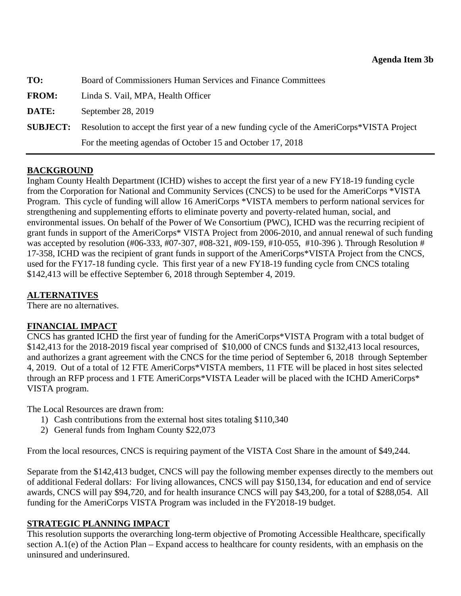<span id="page-16-0"></span>

| TO:          | Board of Commissioners Human Services and Finance Committees                                               |  |
|--------------|------------------------------------------------------------------------------------------------------------|--|
| <b>FROM:</b> | Linda S. Vail, MPA, Health Officer                                                                         |  |
| DATE:        | September 28, 2019                                                                                         |  |
|              | <b>SUBJECT:</b> Resolution to accept the first year of a new funding cycle of the AmeriCorps*VISTA Project |  |
|              | For the meeting agendas of October 15 and October 17, 2018                                                 |  |

# **BACKGROUND**

Ingham County Health Department (ICHD) wishes to accept the first year of a new FY18-19 funding cycle from the Corporation for National and Community Services (CNCS) to be used for the AmeriCorps \*VISTA Program. This cycle of funding will allow 16 AmeriCorps \*VISTA members to perform national services for strengthening and supplementing efforts to eliminate poverty and poverty-related human, social, and environmental issues. On behalf of the Power of We Consortium (PWC), ICHD was the recurring recipient of grant funds in support of the AmeriCorps\* VISTA Project from 2006-2010, and annual renewal of such funding was accepted by resolution (#06-333, #07-307, #08-321, #09-159, #10-055, #10-396 ). Through Resolution # 17-358, ICHD was the recipient of grant funds in support of the AmeriCorps\*VISTA Project from the CNCS, used for the FY17-18 funding cycle. This first year of a new FY18-19 funding cycle from CNCS totaling \$142,413 will be effective September 6, 2018 through September 4, 2019.

# **ALTERNATIVES**

There are no alternatives.

# **FINANCIAL IMPACT**

CNCS has granted ICHD the first year of funding for the AmeriCorps\*VISTA Program with a total budget of \$142,413 for the 2018-2019 fiscal year comprised of \$10,000 of CNCS funds and \$132,413 local resources, and authorizes a grant agreement with the CNCS for the time period of September 6, 2018 through September 4, 2019. Out of a total of 12 FTE AmeriCorps\*VISTA members, 11 FTE will be placed in host sites selected through an RFP process and 1 FTE AmeriCorps\*VISTA Leader will be placed with the ICHD AmeriCorps\* VISTA program.

The Local Resources are drawn from:

- 1) Cash contributions from the external host sites totaling \$110,340
- 2) General funds from Ingham County \$22,073

From the local resources, CNCS is requiring payment of the VISTA Cost Share in the amount of \$49,244.

Separate from the \$142,413 budget, CNCS will pay the following member expenses directly to the members out of additional Federal dollars: For living allowances, CNCS will pay \$150,134, for education and end of service awards, CNCS will pay \$94,720, and for health insurance CNCS will pay \$43,200, for a total of \$288,054. All funding for the AmeriCorps VISTA Program was included in the FY2018-19 budget.

# **STRATEGIC PLANNING IMPACT**

This resolution supports the overarching long-term objective of Promoting Accessible Healthcare, specifically section A.1(e) of the Action Plan – Expand access to healthcare for county residents, with an emphasis on the uninsured and underinsured.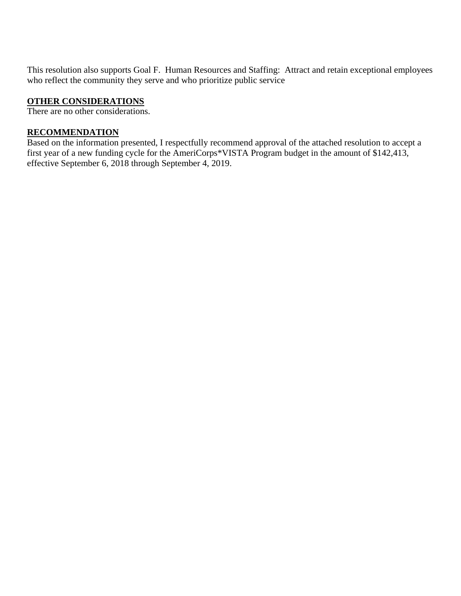This resolution also supports Goal F. Human Resources and Staffing: Attract and retain exceptional employees who reflect the community they serve and who prioritize public service

# **OTHER CONSIDERATIONS**

There are no other considerations.

# **RECOMMENDATION**

Based on the information presented, I respectfully recommend approval of the attached resolution to accept a first year of a new funding cycle for the AmeriCorps\*VISTA Program budget in the amount of \$142,413, effective September 6, 2018 through September 4, 2019.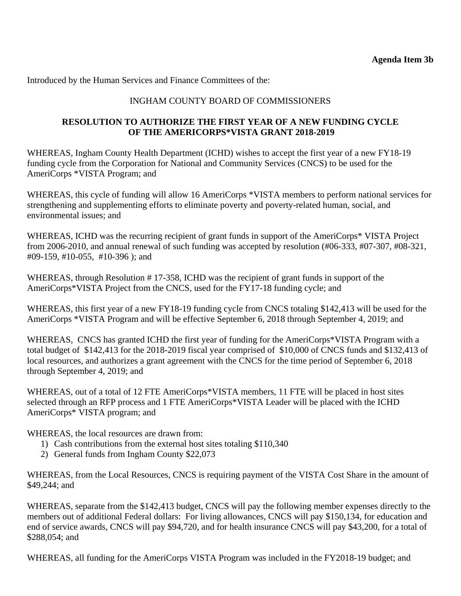Introduced by the Human Services and Finance Committees of the:

# INGHAM COUNTY BOARD OF COMMISSIONERS

# **RESOLUTION TO AUTHORIZE THE FIRST YEAR OF A NEW FUNDING CYCLE OF THE AMERICORPS\*VISTA GRANT 2018-2019**

WHEREAS, Ingham County Health Department (ICHD) wishes to accept the first year of a new FY18-19 funding cycle from the Corporation for National and Community Services (CNCS) to be used for the AmeriCorps \*VISTA Program; and

WHEREAS, this cycle of funding will allow 16 AmeriCorps \*VISTA members to perform national services for strengthening and supplementing efforts to eliminate poverty and poverty-related human, social, and environmental issues; and

WHEREAS, ICHD was the recurring recipient of grant funds in support of the AmeriCorps\* VISTA Project from 2006-2010, and annual renewal of such funding was accepted by resolution (#06-333, #07-307, #08-321, #09-159, #10-055, #10-396 ); and

WHEREAS, through Resolution #17-358, ICHD was the recipient of grant funds in support of the AmeriCorps\*VISTA Project from the CNCS, used for the FY17-18 funding cycle; and

WHEREAS, this first year of a new FY18-19 funding cycle from CNCS totaling \$142,413 will be used for the AmeriCorps \*VISTA Program and will be effective September 6, 2018 through September 4, 2019; and

WHEREAS, CNCS has granted ICHD the first year of funding for the AmeriCorps\*VISTA Program with a total budget of \$142,413 for the 2018-2019 fiscal year comprised of \$10,000 of CNCS funds and \$132,413 of local resources, and authorizes a grant agreement with the CNCS for the time period of September 6, 2018 through September 4, 2019; and

WHEREAS, out of a total of 12 FTE AmeriCorps\*VISTA members, 11 FTE will be placed in host sites selected through an RFP process and 1 FTE AmeriCorps\*VISTA Leader will be placed with the ICHD AmeriCorps\* VISTA program; and

WHEREAS, the local resources are drawn from:

- 1) Cash contributions from the external host sites totaling \$110,340
- 2) General funds from Ingham County \$22,073

WHEREAS, from the Local Resources, CNCS is requiring payment of the VISTA Cost Share in the amount of \$49,244; and

WHEREAS, separate from the \$142,413 budget, CNCS will pay the following member expenses directly to the members out of additional Federal dollars: For living allowances, CNCS will pay \$150,134, for education and end of service awards, CNCS will pay \$94,720, and for health insurance CNCS will pay \$43,200, for a total of \$288,054; and

WHEREAS, all funding for the AmeriCorps VISTA Program was included in the FY2018-19 budget; and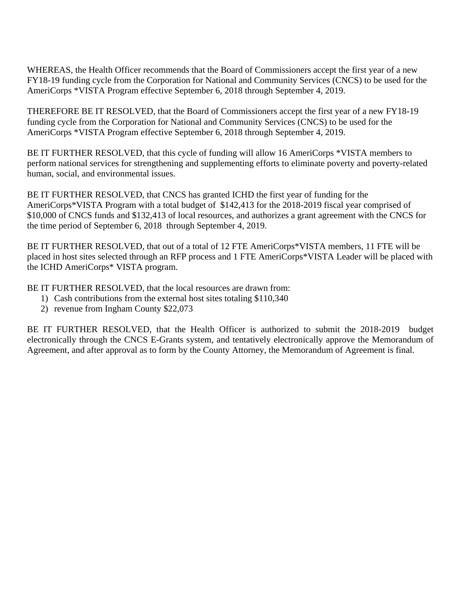WHEREAS, the Health Officer recommends that the Board of Commissioners accept the first year of a new FY18-19 funding cycle from the Corporation for National and Community Services (CNCS) to be used for the AmeriCorps \*VISTA Program effective September 6, 2018 through September 4, 2019.

THEREFORE BE IT RESOLVED, that the Board of Commissioners accept the first year of a new FY18-19 funding cycle from the Corporation for National and Community Services (CNCS) to be used for the AmeriCorps \*VISTA Program effective September 6, 2018 through September 4, 2019.

BE IT FURTHER RESOLVED, that this cycle of funding will allow 16 AmeriCorps \*VISTA members to perform national services for strengthening and supplementing efforts to eliminate poverty and poverty-related human, social, and environmental issues.

BE IT FURTHER RESOLVED, that CNCS has granted ICHD the first year of funding for the AmeriCorps\*VISTA Program with a total budget of \$142,413 for the 2018-2019 fiscal year comprised of \$10,000 of CNCS funds and \$132,413 of local resources, and authorizes a grant agreement with the CNCS for the time period of September 6, 2018 through September 4, 2019.

BE IT FURTHER RESOLVED, that out of a total of 12 FTE AmeriCorps\*VISTA members, 11 FTE will be placed in host sites selected through an RFP process and 1 FTE AmeriCorps\*VISTA Leader will be placed with the ICHD AmeriCorps\* VISTA program.

BE IT FURTHER RESOLVED, that the local resources are drawn from:

- 1) Cash contributions from the external host sites totaling \$110,340
- 2) revenue from Ingham County \$22,073

BE IT FURTHER RESOLVED, that the Health Officer is authorized to submit the 2018-2019 budget electronically through the CNCS E-Grants system, and tentatively electronically approve the Memorandum of Agreement, and after approval as to form by the County Attorney, the Memorandum of Agreement is final.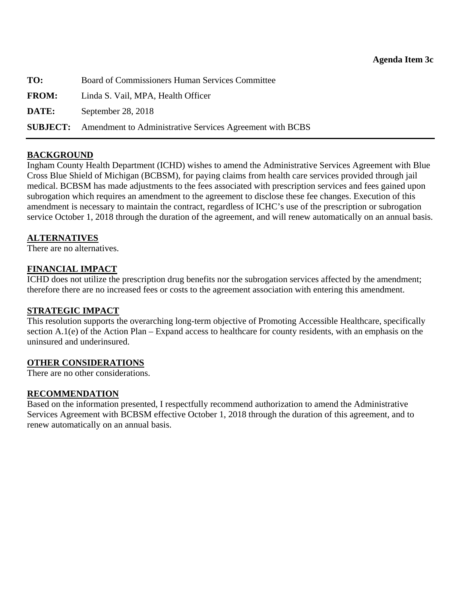<span id="page-20-0"></span>

| TO:          | Board of Commissioners Human Services Committee                          |  |
|--------------|--------------------------------------------------------------------------|--|
| <b>FROM:</b> | Linda S. Vail, MPA, Health Officer                                       |  |
| DATE:        | September 28, 2018                                                       |  |
|              | <b>SUBJECT:</b> Amendment to Administrative Services Agreement with BCBS |  |

# **BACKGROUND**

Ingham County Health Department (ICHD) wishes to amend the Administrative Services Agreement with Blue Cross Blue Shield of Michigan (BCBSM), for paying claims from health care services provided through jail medical. BCBSM has made adjustments to the fees associated with prescription services and fees gained upon subrogation which requires an amendment to the agreement to disclose these fee changes. Execution of this amendment is necessary to maintain the contract, regardless of ICHC's use of the prescription or subrogation service October 1, 2018 through the duration of the agreement, and will renew automatically on an annual basis.

#### **ALTERNATIVES**

There are no alternatives.

# **FINANCIAL IMPACT**

ICHD does not utilize the prescription drug benefits nor the subrogation services affected by the amendment; therefore there are no increased fees or costs to the agreement association with entering this amendment.

#### **STRATEGIC IMPACT**

This resolution supports the overarching long-term objective of Promoting Accessible Healthcare, specifically section A.1(e) of the Action Plan – Expand access to healthcare for county residents, with an emphasis on the uninsured and underinsured.

#### **OTHER CONSIDERATIONS**

There are no other considerations.

#### **RECOMMENDATION**

Based on the information presented, I respectfully recommend authorization to amend the Administrative Services Agreement with BCBSM effective October 1, 2018 through the duration of this agreement, and to renew automatically on an annual basis.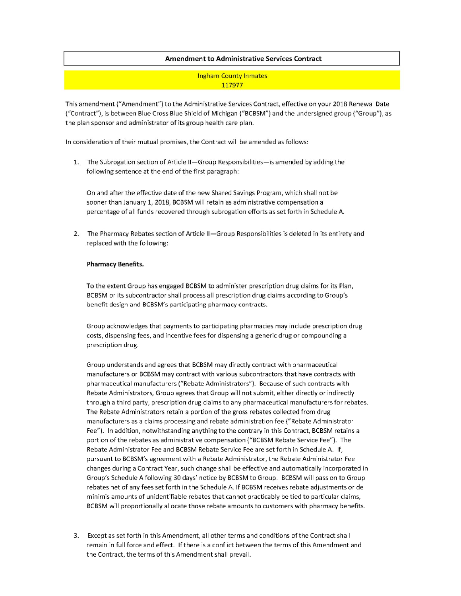#### **Amendment to Administrative Services Contract**

**Ingham County Inmates** 117977

This amendment ("Amendment") to the Administrative Services Contract, effective on your 2018 Renewal Date ("Contract"), is between Blue Cross Blue Shield of Michigan ("BCBSM") and the undersigned group ("Group"), as the plan sponsor and administrator of its group health care plan.

In consideration of their mutual promises, the Contract will be amended as follows:

1. The Subrogation section of Article II-Group Responsibilities-is amended by adding the following sentence at the end of the first paragraph:

On and after the effective date of the new Shared Savings Program, which shall not be sooner than January 1, 2018, BCBSM will retain as administrative compensation a percentage of all funds recovered through subrogation efforts as set forth in Schedule A.

2. The Pharmacy Rebates section of Article II-Group Responsibilities is deleted in its entirety and replaced with the following:

#### **Pharmacy Benefits.**

To the extent Group has engaged BCBSM to administer prescription drug claims for its Plan, BCBSM or its subcontractor shall process all prescription drug claims according to Group's benefit design and BCBSM's participating pharmacy contracts.

Group acknowledges that payments to participating pharmacies may include prescription drug costs, dispensing fees, and incentive fees for dispensing a generic drug or compounding a prescription drug.

Group understands and agrees that BCBSM may directly contract with pharmaceutical manufacturers or BCBSM may contract with various subcontractors that have contracts with pharmaceutical manufacturers ("Rebate Administrators"). Because of such contracts with Rebate Administrators, Group agrees that Group will not submit, either directly or indirectly through a third party, prescription drug claims to any pharmaceutical manufacturers for rebates. The Rebate Administrators retain a portion of the gross rebates collected from drug manufacturers as a claims processing and rebate administration fee ("Rebate Administrator Fee"). In addition, notwithstanding anything to the contrary in this Contract, BCBSM retains a portion of the rebates as administrative compensation ("BCBSM Rebate Service Fee"). The Rebate Administrator Fee and BCBSM Rebate Service Fee are set forth in Schedule A. If, pursuant to BCBSM's agreement with a Rebate Administrator, the Rebate Administrator Fee changes during a Contract Year, such change shall be effective and automatically incorporated in Group's Schedule A following 30 days' notice by BCBSM to Group. BCBSM will pass on to Group rebates net of any fees set forth in the Schedule A. If BCBSM receives rebate adjustments or de minimis amounts of unidentifiable rebates that cannot practicably be tied to particular claims, BCBSM will proportionally allocate those rebate amounts to customers with pharmacy benefits.

Except as set forth in this Amendment, all other terms and conditions of the Contract shall 3. remain in full force and effect. If there is a conflict between the terms of this Amendment and the Contract, the terms of this Amendment shall prevail.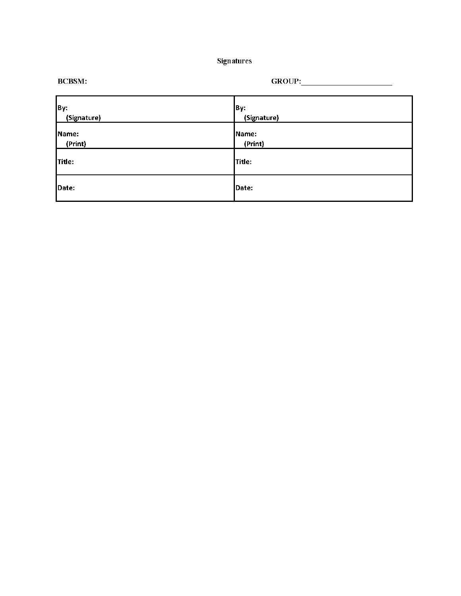| Signatures |  |
|------------|--|
|------------|--|

| By:<br>(Signature) | By:<br>(Signature) |
|--------------------|--------------------|
| Name:<br>(Print)   | Name:<br>(Print)   |
| Title:             | Title:             |
| Date:              | Date:              |

**BCBSM:** 

 $\textbf{GROUP:}\underline{\hspace{2.5cm}}$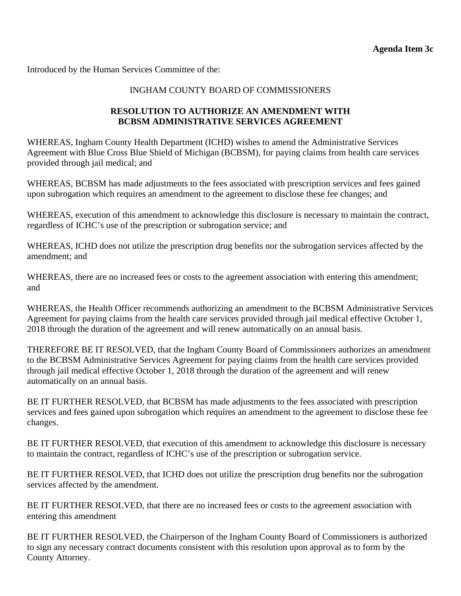Introduced by the Human Services Committee of the:

#### INGHAM COUNTY BOARD OF COMMISSIONERS

#### **RESOLUTION TO AUTHORIZE AN AMENDMENT WITH BCBSM ADMINISTRATIVE SERVICES AGREEMENT**

WHEREAS, Ingham County Health Department (ICHD) wishes to amend the Administrative Services Agreement with Blue Cross Blue Shield of Michigan (BCBSM), for paying claims from health care services provided through jail medical; and

WHEREAS, BCBSM has made adjustments to the fees associated with prescription services and fees gained upon subrogation which requires an amendment to the agreement to disclose these fee changes; and

WHEREAS, execution of this amendment to acknowledge this disclosure is necessary to maintain the contract, regardless of ICHC's use of the prescription or subrogation service; and

WHEREAS, ICHD does not utilize the prescription drug benefits nor the subrogation services affected by the amendment; and

WHEREAS, there are no increased fees or costs to the agreement association with entering this amendment; and

WHEREAS, the Health Officer recommends authorizing an amendment to the BCBSM Administrative Services Agreement for paying claims from the health care services provided through jail medical effective October 1, 2018 through the duration of the agreement and will renew automatically on an annual basis.

THEREFORE BE IT RESOLVED, that the Ingham County Board of Commissioners authorizes an amendment to the BCBSM Administrative Services Agreement for paying claims from the health care services provided through jail medical effective October 1, 2018 through the duration of the agreement and will renew automatically on an annual basis.

BE IT FURTHER RESOLVED, that BCBSM has made adjustments to the fees associated with prescription services and fees gained upon subrogation which requires an amendment to the agreement to disclose these fee changes.

BE IT FURTHER RESOLVED, that execution of this amendment to acknowledge this disclosure is necessary to maintain the contract, regardless of ICHC's use of the prescription or subrogation service.

BE IT FURTHER RESOLVED, that ICHD does not utilize the prescription drug benefits nor the subrogation services affected by the amendment.

BE IT FURTHER RESOLVED, that there are no increased fees or costs to the agreement association with entering this amendment

BE IT FURTHER RESOLVED, the Chairperson of the Ingham County Board of Commissioners is authorized to sign any necessary contract documents consistent with this resolution upon approval as to form by the County Attorney.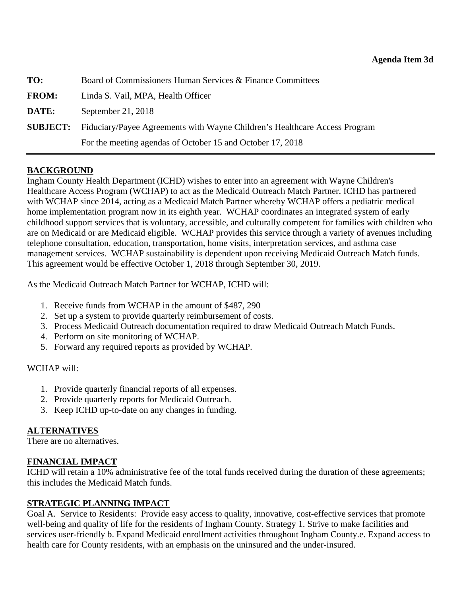<span id="page-24-0"></span>

| TO:             | Board of Commissioners Human Services & Finance Committees                 |  |
|-----------------|----------------------------------------------------------------------------|--|
| <b>FROM:</b>    | Linda S. Vail, MPA, Health Officer                                         |  |
| DATE:           | September 21, 2018                                                         |  |
| <b>SUBJECT:</b> | Fiduciary/Payee Agreements with Wayne Children's Healthcare Access Program |  |
|                 | For the meeting agendas of October 15 and October 17, 2018                 |  |

# **BACKGROUND**

Ingham County Health Department (ICHD) wishes to enter into an agreement with Wayne Children's Healthcare Access Program (WCHAP) to act as the Medicaid Outreach Match Partner. ICHD has partnered with WCHAP since 2014, acting as a Medicaid Match Partner whereby WCHAP offers a pediatric medical home implementation program now in its eighth year. WCHAP coordinates an integrated system of early childhood support services that is voluntary, accessible, and culturally competent for families with children who are on Medicaid or are Medicaid eligible. WCHAP provides this service through a variety of avenues including telephone consultation, education, transportation, home visits, interpretation services, and asthma case management services. WCHAP sustainability is dependent upon receiving Medicaid Outreach Match funds. This agreement would be effective October 1, 2018 through September 30, 2019.

As the Medicaid Outreach Match Partner for WCHAP, ICHD will:

- 1. Receive funds from WCHAP in the amount of \$487, 290
- 2. Set up a system to provide quarterly reimbursement of costs.
- 3. Process Medicaid Outreach documentation required to draw Medicaid Outreach Match Funds.
- 4. Perform on site monitoring of WCHAP.
- 5. Forward any required reports as provided by WCHAP.

#### WCHAP will:

- 1. Provide quarterly financial reports of all expenses.
- 2. Provide quarterly reports for Medicaid Outreach.
- 3. Keep ICHD up-to-date on any changes in funding.

# **ALTERNATIVES**

There are no alternatives.

# **FINANCIAL IMPACT**

ICHD will retain a 10% administrative fee of the total funds received during the duration of these agreements; this includes the Medicaid Match funds.

# **STRATEGIC PLANNING IMPACT**

Goal A. Service to Residents: Provide easy access to quality, innovative, cost-effective services that promote well-being and quality of life for the residents of Ingham County. Strategy 1. Strive to make facilities and services user-friendly b. Expand Medicaid enrollment activities throughout Ingham County.e. Expand access to health care for County residents, with an emphasis on the uninsured and the under-insured.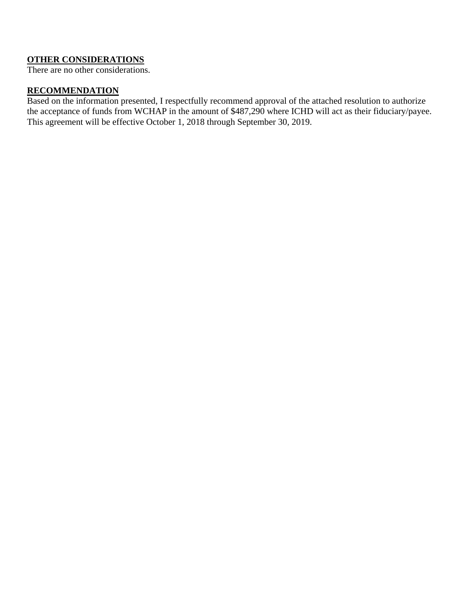# **OTHER CONSIDERATIONS**

There are no other considerations.

# **RECOMMENDATION**

Based on the information presented, I respectfully recommend approval of the attached resolution to authorize the acceptance of funds from WCHAP in the amount of \$487,290 where ICHD will act as their fiduciary/payee. This agreement will be effective October 1, 2018 through September 30, 2019.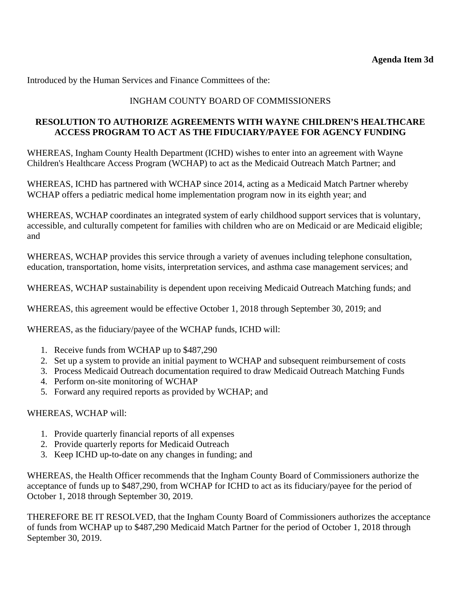Introduced by the Human Services and Finance Committees of the:

# INGHAM COUNTY BOARD OF COMMISSIONERS

# **RESOLUTION TO AUTHORIZE AGREEMENTS WITH WAYNE CHILDREN'S HEALTHCARE ACCESS PROGRAM TO ACT AS THE FIDUCIARY/PAYEE FOR AGENCY FUNDING**

WHEREAS, Ingham County Health Department (ICHD) wishes to enter into an agreement with Wayne Children's Healthcare Access Program (WCHAP) to act as the Medicaid Outreach Match Partner; and

WHEREAS, ICHD has partnered with WCHAP since 2014, acting as a Medicaid Match Partner whereby WCHAP offers a pediatric medical home implementation program now in its eighth year; and

WHEREAS, WCHAP coordinates an integrated system of early childhood support services that is voluntary, accessible, and culturally competent for families with children who are on Medicaid or are Medicaid eligible; and

WHEREAS, WCHAP provides this service through a variety of avenues including telephone consultation, education, transportation, home visits, interpretation services, and asthma case management services; and

WHEREAS, WCHAP sustainability is dependent upon receiving Medicaid Outreach Matching funds; and

WHEREAS, this agreement would be effective October 1, 2018 through September 30, 2019; and

WHEREAS, as the fiduciary/payee of the WCHAP funds, ICHD will:

- 1. Receive funds from WCHAP up to \$487,290
- 2. Set up a system to provide an initial payment to WCHAP and subsequent reimbursement of costs
- 3. Process Medicaid Outreach documentation required to draw Medicaid Outreach Matching Funds
- 4. Perform on-site monitoring of WCHAP
- 5. Forward any required reports as provided by WCHAP; and

# WHEREAS, WCHAP will:

- 1. Provide quarterly financial reports of all expenses
- 2. Provide quarterly reports for Medicaid Outreach
- 3. Keep ICHD up-to-date on any changes in funding; and

WHEREAS, the Health Officer recommends that the Ingham County Board of Commissioners authorize the acceptance of funds up to \$487,290, from WCHAP for ICHD to act as its fiduciary/payee for the period of October 1, 2018 through September 30, 2019.

THEREFORE BE IT RESOLVED, that the Ingham County Board of Commissioners authorizes the acceptance of funds from WCHAP up to \$487,290 Medicaid Match Partner for the period of October 1, 2018 through September 30, 2019.